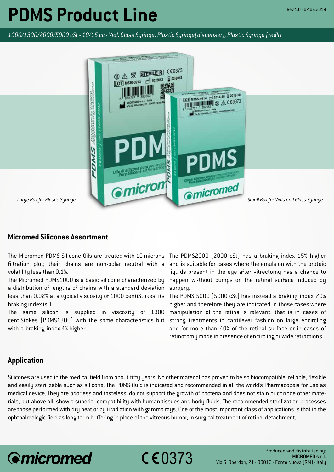## **PDMS Product Line**

*1000/1300/2000/5000 cSt - 10/15 cc - Vial, Glass Syringe, Plastic Syringe(dispenser), Plastic Syringe (re*f*ill)*



## **Micromed Silicones Assortment**

The Micromed PDMS Silicone Oils are treated with 10 microns The PDMS2000 (2000 cSt) has a braking index 15% higher filtration plot; their chains are non-polar neutral with a volatility less than 0.1%.

The Micromed PDMS1000 is a basic silicone characterized by a distribution of lengths of chains with a standard deviation less than 0.02% at a typical viscosity of 1000 centiStokes; its braking index is 1.

The same silicon is supplied in viscosity of 1300 centiStokes (PDMS1300) with the same characteristics but with a braking index 4% higher.

and is suitable for cases where the emulsion with the proteic liquids present in the eye after vitrectomy has a chance to happen wi-thout bumps on the retinal surface induced by surgery.

The PDMS 5000 (5000 cSt) has instead a braking index 70% higher and therefore they are indicated in those cases where manipulation of the retina is relevant, that is in cases of strong treatments in cantilever fashion on large encircling and for more than 40% of the retinal surface or in cases of retinotomy made in presence of encircling or wide retractions.

## **Application**

Silicones are used in the medical field from about fifty years. No other material has proven to be so biocompatible, reliable, flexible and easily sterilizable such as silicone. The PDMS fluid is indicated and recommended in all the world's Pharmacopeia for use as medical device. They are odorless and tasteless, do not support the growth of bacteria and does not stain or corrode other materials, but above all, show a superior compatibility with human tissues and body fluids. The recommended sterilization processes are those performed with dry heat or by irradiation with gamma rays. One of the most important class of applications is that in the ophthalmologic field as long term buffering in place of the vitreous humor, in surgical treatment of retinal detachment.

 $C$   $E$  0373